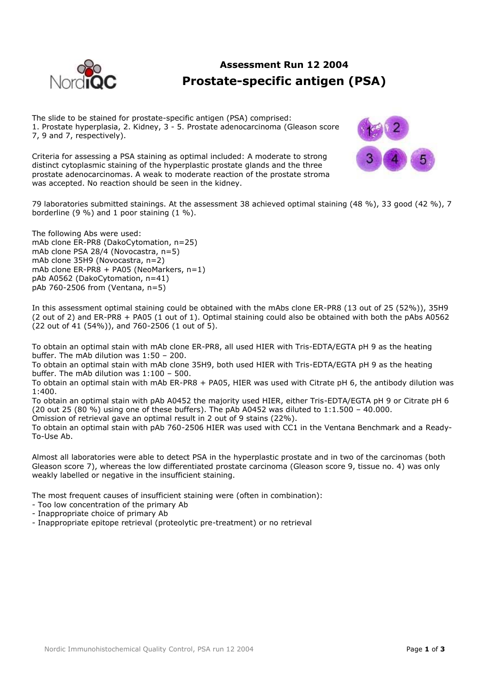

## **Assessment Run 12 2004 Prostate-specific antigen (PSA)**

The slide to be stained for prostate-specific antigen (PSA) comprised: 1. Prostate hyperplasia, 2. Kidney, 3 - 5. Prostate adenocarcinoma (Gleason score 7, 9 and 7, respectively).

Criteria for assessing a PSA staining as optimal included: A moderate to strong distinct cytoplasmic staining of the hyperplastic prostate glands and the three prostate adenocarcinomas. A weak to moderate reaction of the prostate stroma was accepted. No reaction should be seen in the kidney.



79 laboratories submitted stainings. At the assessment 38 achieved optimal staining (48 %), 33 good (42 %), 7 borderline (9 %) and 1 poor staining (1 %).

The following Abs were used: mAb clone ER-PR8 (DakoCytomation, n=25) mAb clone PSA 28/4 (Novocastra, n=5) mAb clone 35H9 (Novocastra, n=2) mAb clone ER-PR8 + PA05 (NeoMarkers, n=1) pAb A0562 (DakoCytomation, n=41) pAb 760-2506 from (Ventana, n=5)

In this assessment optimal staining could be obtained with the mAbs clone ER-PR8 (13 out of 25 (52%)), 35H9 (2 out of 2) and ER-PR8 + PA05 (1 out of 1). Optimal staining could also be obtained with both the pAbs A0562 (22 out of 41 (54%)), and 760-2506 (1 out of 5).

To obtain an optimal stain with mAb clone ER-PR8, all used HIER with Tris-EDTA/EGTA pH 9 as the heating buffer. The mAb dilution was 1:50 – 200.

To obtain an optimal stain with mAb clone 35H9, both used HIER with Tris-EDTA/EGTA pH 9 as the heating buffer. The mAb dilution was 1:100 – 500.

To obtain an optimal stain with mAb ER-PR8 + PA05, HIER was used with Citrate pH 6, the antibody dilution was 1:400.

To obtain an optimal stain with pAb A0452 the majority used HIER, either Tris-EDTA/EGTA pH 9 or Citrate pH 6 (20 out 25 (80 %) using one of these buffers). The pAb A0452 was diluted to 1:1.500 – 40.000.

Omission of retrieval gave an optimal result in 2 out of 9 stains (22%).

To obtain an optimal stain with pAb 760-2506 HIER was used with CC1 in the Ventana Benchmark and a Ready-To-Use Ab.

Almost all laboratories were able to detect PSA in the hyperplastic prostate and in two of the carcinomas (both Gleason score 7), whereas the low differentiated prostate carcinoma (Gleason score 9, tissue no. 4) was only weakly labelled or negative in the insufficient staining.

The most frequent causes of insufficient staining were (often in combination):

- Too low concentration of the primary Ab
- Inappropriate choice of primary Ab
- Inappropriate epitope retrieval (proteolytic pre-treatment) or no retrieval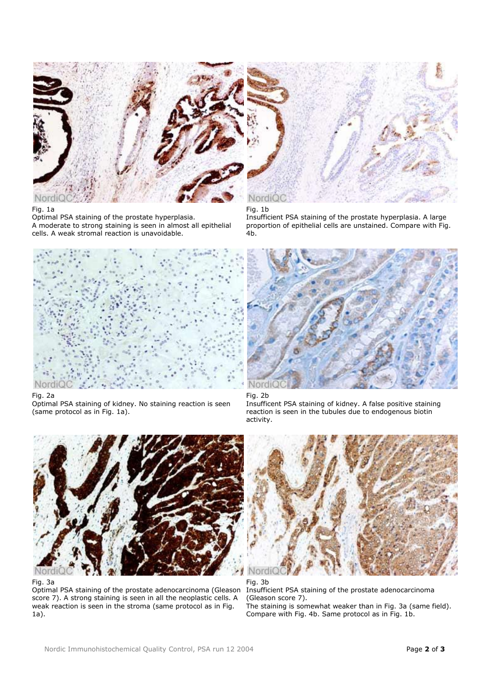

## Fig. 1a

Optimal PSA staining of the prostate hyperplasia. A moderate to strong staining is seen in almost all epithelial cells. A weak stromal reaction is unavoidable.



Fig. 1b

Insufficient PSA staining of the prostate hyperplasia. A large proportion of epithelial cells are unstained. Compare with Fig. 4b.



Fig. 2a

Optimal PSA staining of kidney. No staining reaction is seen (same protocol as in Fig. 1a).



## Fig. 2b

Insufficent PSA staining of kidney. A false positive staining reaction is seen in the tubules due to endogenous biotin activity.



Fig. 3a

Optimal PSA staining of the prostate adenocarcinoma (Gleason score 7). A strong staining is seen in all the neoplastic cells. A weak reaction is seen in the stroma (same protocol as in Fig. 1a).



Fig. 3b Insufficient PSA staining of the prostate adenocarcinoma (Gleason score 7). The staining is somewhat weaker than in Fig. 3a (same field). Compare with Fig. 4b. Same protocol as in Fig. 1b.